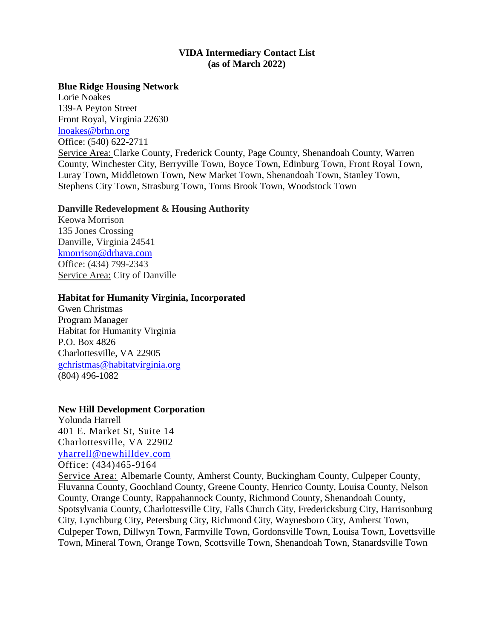### **VIDA Intermediary Contact List (as of March 2022)**

#### **Blue Ridge Housing Network**

Lorie Noakes 139-A Peyton Street Front Royal, Virginia 22630 [lnoakes@brhn.org](mailto:lnoakes@brhn.org) Office: (540) 622-2711 Service Area: Clarke County, Frederick County, Page County, Shenandoah County, Warren County, Winchester City, Berryville Town, Boyce Town, Edinburg Town, Front Royal Town, Luray Town, Middletown Town, New Market Town, Shenandoah Town, Stanley Town, Stephens City Town, Strasburg Town, Toms Brook Town, Woodstock Town

#### **Danville Redevelopment & Housing Authority**

Keowa Morrison 135 Jones Crossing Danville, Virginia 24541 [kmorrison@drhava.com](mailto:kmorrison@drhava.com) Office: (434) 799-2343 Service Area: City of Danville

#### **Habitat for Humanity Virginia, Incorporated**

Gwen Christmas Program Manager Habitat for Humanity Virginia P.O. Box 4826 Charlottesville, VA 22905 [gchristmas@habitatvirginia.org](mailto:gchristmas@habitatvirginia.org)  (804) 496-1082

### **New Hill Development Corporation**

Yolunda Harrell 401 E. Market St, Suite 14 Charlottesville, VA 22902 [yharrell@newhilldev.com](mailto:yharrell@newhilldev.com)

Office: (434)465-9164

Service Area: Albemarle County, Amherst County, Buckingham County, Culpeper County, Fluvanna County, Goochland County, Greene County, Henrico County, Louisa County, Nelson County, Orange County, Rappahannock County, Richmond County, Shenandoah County, Spotsylvania County, Charlottesville City, Falls Church City, Fredericksburg City, Harrisonburg City, Lynchburg City, Petersburg City, Richmond City, Waynesboro City, Amherst Town, Culpeper Town, Dillwyn Town, Farmville Town, Gordonsville Town, Louisa Town, Lovettsville Town, Mineral Town, Orange Town, Scottsville Town, Shenandoah Town, Stanardsville Town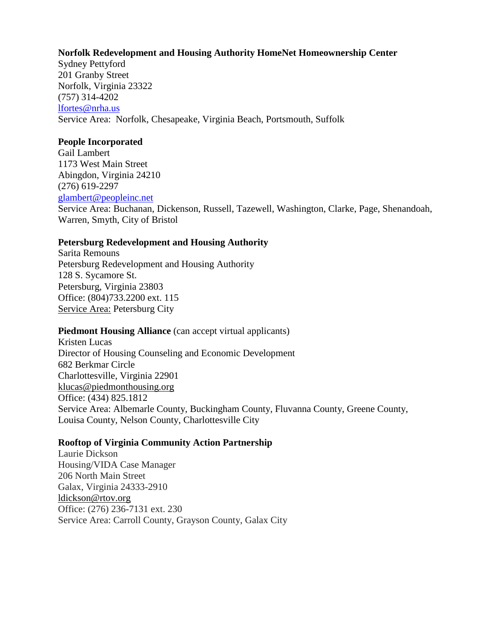### **Norfolk Redevelopment and Housing Authority HomeNet Homeownership Center**

Sydney Pettyford 201 Granby Street Norfolk, Virginia 23322 (757) 314-4202 [lfortes@nrha.us](mailto:lfortes@nrha.us) Service Area: Norfolk, Chesapeake, Virginia Beach, Portsmouth, Suffolk

#### **People Incorporated**

Gail Lambert 1173 West Main Street Abingdon, Virginia 24210 (276) 619-2297 [glambert@peopleinc.net](mailto:glambert@peopleinc.net) Service Area: Buchanan, Dickenson, Russell, Tazewell, Washington, Clarke, Page, Shenandoah, Warren, Smyth, City of Bristol

### **Petersburg Redevelopment and Housing Authority**

Sarita Remouns Petersburg Redevelopment and Housing Authority 128 S. Sycamore St. Petersburg, Virginia 23803 Office: (804)733.2200 ext. 115 Service Area: Petersburg City

### **Piedmont Housing Alliance** (can accept virtual applicants)

Kristen Lucas Director of Housing Counseling and Economic Development 682 Berkmar Circle Charlottesville, Virginia 22901 [klucas@piedmonthousing.org](mailto:klucas@piedmonthousing.org) Office: (434) 825.1812 Service Area: Albemarle County, Buckingham County, Fluvanna County, Greene County, Louisa County, Nelson County, Charlottesville City

### **Rooftop of Virginia Community Action Partnership**

Laurie Dickson Housing/VIDA Case Manager 206 North Main Street Galax, Virginia 24333-2910 [ldickson@rtov.org](mailto:ldickson@rtov.org) Office: (276) 236-7131 ext. 230 Service Area: Carroll County, Grayson County, Galax City